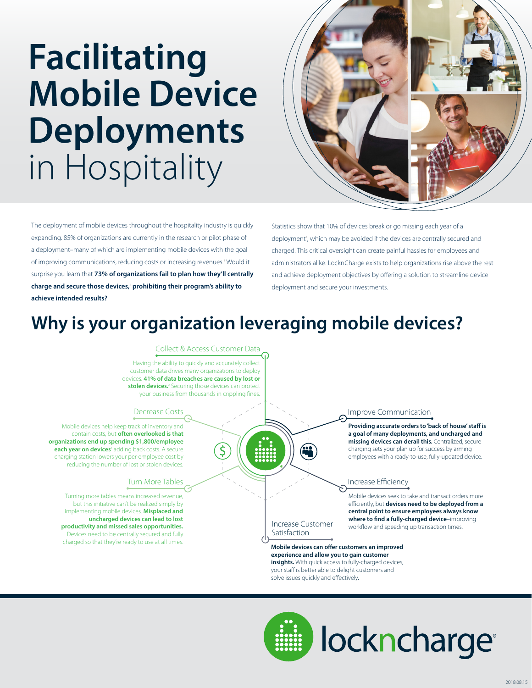# **Facilitating Mobile Device Deployments**  in Hospitality



The deployment of mobile devices throughout the hospitality industry is quickly expanding. 85% of organizations are currently in the research or pilot phase of a deployment–many of which are implementing mobile devices with the goal of improving communications, reducing costs or increasing revenues.<sup>1</sup> Would it surprise you learn that **73% of organizations fail to plan how they'll centrally charge and secure those devices,**<sup>1</sup>  **prohibiting their program's ability to achieve intended results?**

Statistics show that 10% of devices break or go missing each year of a deployment<sup>3</sup>, which may be avoided if the devices are centrally secured and charged. This critical oversight can create painful hassles for employees and administrators alike. LocknCharge exists to help organizations rise above the rest and achieve deployment objectives by offering a solution to streamline device deployment and secure your investments.

### **Why is your organization leveraging mobile devices?**

#### Collect & Access Customer Data

Having the ability to quickly and accurately collect customer data drives many organizations to deploy devices. **41% of data breaches are caused by lost or**  stolen devices.<sup>2</sup> Securing those devices can protect your business from thousands in crippling fines.

#### Decrease Costs

Mobile devices help keep track of inventory and contain costs, but **often overlooked is that organizations end up spending \$1,800/employee**  each year on devices<sup>3</sup> adding back costs. A secure charging station lowers your per-employee cost by reducing the number of lost or stolen devices.

#### Turn More Tables

Turning more tables means increased revenue, but this initiative can't be realized simply by implementing mobile devices. **Misplaced and uncharged devices can lead to lost productivity and missed sales opportunities.**  Devices need to be centrally secured and fully charged so that they're ready to use at all times. Improve Communication

Providing accurate orders to 'back of house' staff is **a goal of many deployments, and uncharged and missing devices can derail this.** Centralized, secure charging sets your plan up for success by arming employees with a ready-to-use, fully-updated device.

#### Increase Efficiency

Mobile devices seek to take and transact orders more efficiently, but devices need to be deployed from a **central point to ensure employees always know** where to find a fully-charged device-improving workflow and speeding up transaction times.

#### Increase Customer Satisfaction

<u>119</u>

**Mobile devices can offer customers an improved experience and allow you to gain customer insights.** With quick access to fully-charged devices, your staff is better able to delight customers and solve issues quickly and effectively.